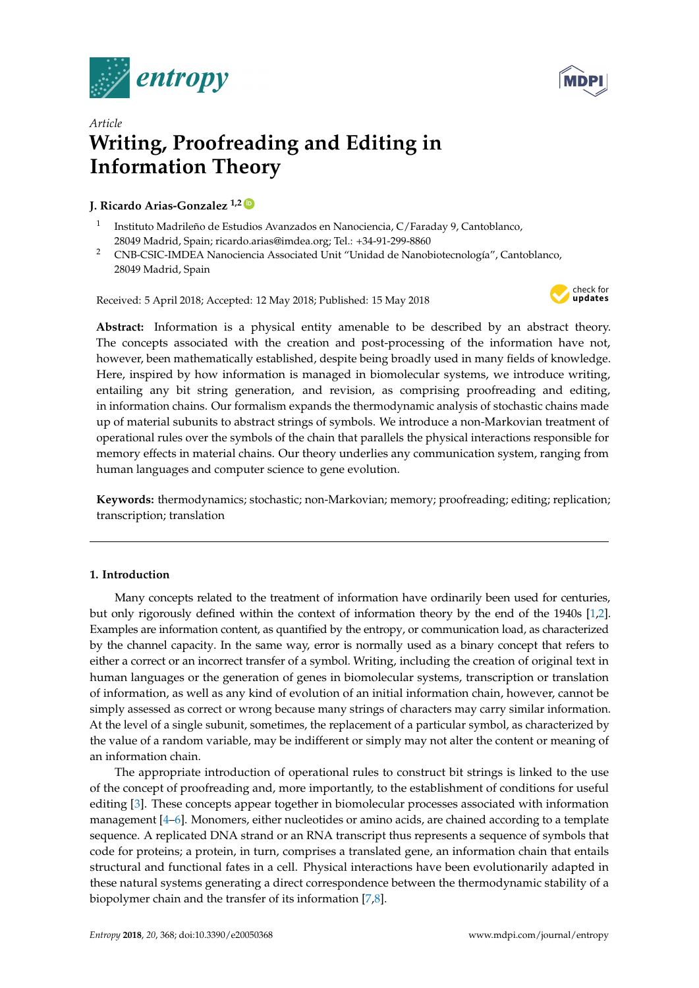



# *Article* **Writing, Proofreading and Editing in Information Theory**

# **J. Ricardo Arias-Gonzalez** <sup>1,2</sup>

- 1 Instituto Madrileño de Estudios Avanzados en Nanociencia, C/Faraday 9, Cantoblanco, 28049 Madrid, Spain; ricardo.arias@imdea.org; Tel.: +34-91-299-8860
- <sup>2</sup> CNB-CSIC-IMDEA Nanociencia Associated Unit "Unidad de Nanobiotecnología", Cantoblanco, 28049 Madrid, Spain

Received: 5 April 2018; Accepted: 12 May 2018; Published: 15 May 2018



**Abstract:** Information is a physical entity amenable to be described by an abstract theory. The concepts associated with the creation and post-processing of the information have not, however, been mathematically established, despite being broadly used in many fields of knowledge. Here, inspired by how information is managed in biomolecular systems, we introduce writing, entailing any bit string generation, and revision, as comprising proofreading and editing, in information chains. Our formalism expands the thermodynamic analysis of stochastic chains made up of material subunits to abstract strings of symbols. We introduce a non-Markovian treatment of operational rules over the symbols of the chain that parallels the physical interactions responsible for memory effects in material chains. Our theory underlies any communication system, ranging from human languages and computer science to gene evolution.

**Keywords:** thermodynamics; stochastic; non-Markovian; memory; proofreading; editing; replication; transcription; translation

# **1. Introduction**

Many concepts related to the treatment of information have ordinarily been used for centuries, but only rigorously defined within the context of information theory by the end of the 1940s [\[1,](#page-9-0)[2\]](#page-9-1). Examples are information content, as quantified by the entropy, or communication load, as characterized by the channel capacity. In the same way, error is normally used as a binary concept that refers to either a correct or an incorrect transfer of a symbol. Writing, including the creation of original text in human languages or the generation of genes in biomolecular systems, transcription or translation of information, as well as any kind of evolution of an initial information chain, however, cannot be simply assessed as correct or wrong because many strings of characters may carry similar information. At the level of a single subunit, sometimes, the replacement of a particular symbol, as characterized by the value of a random variable, may be indifferent or simply may not alter the content or meaning of an information chain.

The appropriate introduction of operational rules to construct bit strings is linked to the use of the concept of proofreading and, more importantly, to the establishment of conditions for useful editing [\[3\]](#page-9-2). These concepts appear together in biomolecular processes associated with information management [\[4](#page-9-3)[–6\]](#page-9-4). Monomers, either nucleotides or amino acids, are chained according to a template sequence. A replicated DNA strand or an RNA transcript thus represents a sequence of symbols that code for proteins; a protein, in turn, comprises a translated gene, an information chain that entails structural and functional fates in a cell. Physical interactions have been evolutionarily adapted in these natural systems generating a direct correspondence between the thermodynamic stability of a biopolymer chain and the transfer of its information [\[7](#page-9-5)[,8\]](#page-9-6).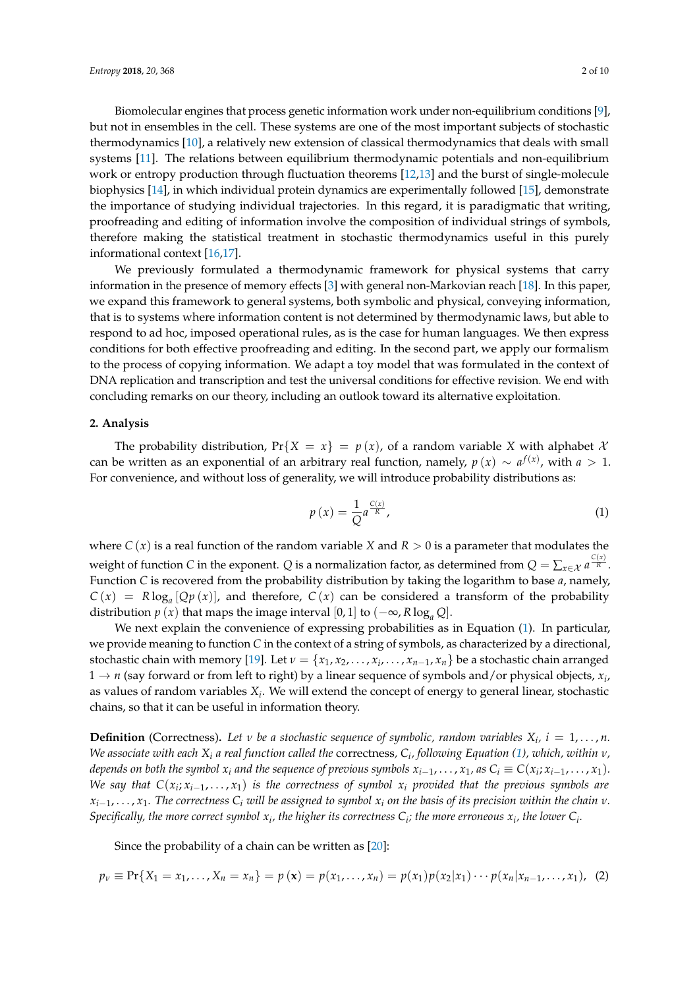Biomolecular engines that process genetic information work under non-equilibrium conditions [\[9\]](#page-9-7), but not in ensembles in the cell. These systems are one of the most important subjects of stochastic thermodynamics [\[10\]](#page-9-8), a relatively new extension of classical thermodynamics that deals with small systems [\[11\]](#page-9-9). The relations between equilibrium thermodynamic potentials and non-equilibrium work or entropy production through fluctuation theorems [\[12](#page-9-10)[,13\]](#page-9-11) and the burst of single-molecule biophysics [\[14\]](#page-9-12), in which individual protein dynamics are experimentally followed [\[15\]](#page-9-13), demonstrate the importance of studying individual trajectories. In this regard, it is paradigmatic that writing, proofreading and editing of information involve the composition of individual strings of symbols, therefore making the statistical treatment in stochastic thermodynamics useful in this purely informational context [\[16](#page-9-14)[,17\]](#page-9-15).

We previously formulated a thermodynamic framework for physical systems that carry information in the presence of memory effects [\[3\]](#page-9-2) with general non-Markovian reach [\[18\]](#page-9-16). In this paper, we expand this framework to general systems, both symbolic and physical, conveying information, that is to systems where information content is not determined by thermodynamic laws, but able to respond to ad hoc, imposed operational rules, as is the case for human languages. We then express conditions for both effective proofreading and editing. In the second part, we apply our formalism to the process of copying information. We adapt a toy model that was formulated in the context of DNA replication and transcription and test the universal conditions for effective revision. We end with concluding remarks on our theory, including an outlook toward its alternative exploitation.

#### **2. Analysis**

The probability distribution,  $Pr{X = x} = p(x)$ , of a random variable *X* with alphabet *X* can be written as an exponential of an arbitrary real function, namely,  $p(x) \sim a^{f(x)}$ , with  $a > 1$ . For convenience, and without loss of generality, we will introduce probability distributions as:

<span id="page-1-0"></span>
$$
p\left(x\right) = \frac{1}{Q}a^{\frac{C(x)}{R}},\tag{1}
$$

where *C* (*x*) is a real function of the random variable *X* and *R* > 0 is a parameter that modulates the weight of function *C* in the exponent. *Q* is a normalization factor, as determined from  $Q = \sum_{x \in \mathcal{X}} a^{\frac{C(x)}{R}}$ . Function *C* is recovered from the probability distribution by taking the logarithm to base *a*, namely,  $C(x) = R \log_a [Qp(x)]$ , and therefore,  $C(x)$  can be considered a transform of the probability distribution *p* (*x*) that maps the image interval [0, 1] to ( $-\infty$ , *R* log<sub>*a*</sub> *Q*].

We next explain the convenience of expressing probabilities as in Equation [\(1\)](#page-1-0). In particular, we provide meaning to function *C* in the context of a string of symbols, as characterized by a directional, stochastic chain with memory [\[19\]](#page-9-17). Let  $\nu = \{x_1, x_2, \ldots, x_i, \ldots, x_{n-1}, x_n\}$  be a stochastic chain arranged  $1 \rightarrow n$  (say forward or from left to right) by a linear sequence of symbols and/or physical objects,  $x_i$ , as values of random variables *X<sup>i</sup>* . We will extend the concept of energy to general linear, stochastic chains, so that it can be useful in information theory.

**Definition** (Correctness). Let *v be a stochastic sequence of symbolic, random variables*  $X_i$ ,  $i = 1, ..., n$ . *We associate with each X<sup>i</sup> a real function called the* correctness*, C<sup>i</sup> , following Equation [\(1\)](#page-1-0), which, within ν,* depends on both the symbol  $x_i$  and the sequence of previous symbols  $x_{i-1},\ldots,x_1$ , as  $C_i\equiv C(x_i;x_{i-1},\ldots,x_1).$ *We say that*  $C(x_i; x_{i-1}, \ldots, x_1)$  *is the correctness of symbol*  $x_i$  *provided that the previous symbols are xi*−<sup>1</sup> , . . . , *x*1*. The correctness C<sup>i</sup> will be assigned to symbol x<sup>i</sup> on the basis of its precision within the chain ν.*  $S$ pecifically, the more correct symbol  $x_i$ , the higher its correctness  $C_i$ ; the more erroneous  $x_i$ , the lower  $C_i$ .

Since the probability of a chain can be written as [\[20\]](#page-9-18):

$$
p_v \equiv \Pr\{X_1 = x_1, \ldots, X_n = x_n\} = p(\mathbf{x}) = p(x_1, \ldots, x_n) = p(x_1)p(x_2|x_1)\cdots p(x_n|x_{n-1}, \ldots, x_1), \quad (2)
$$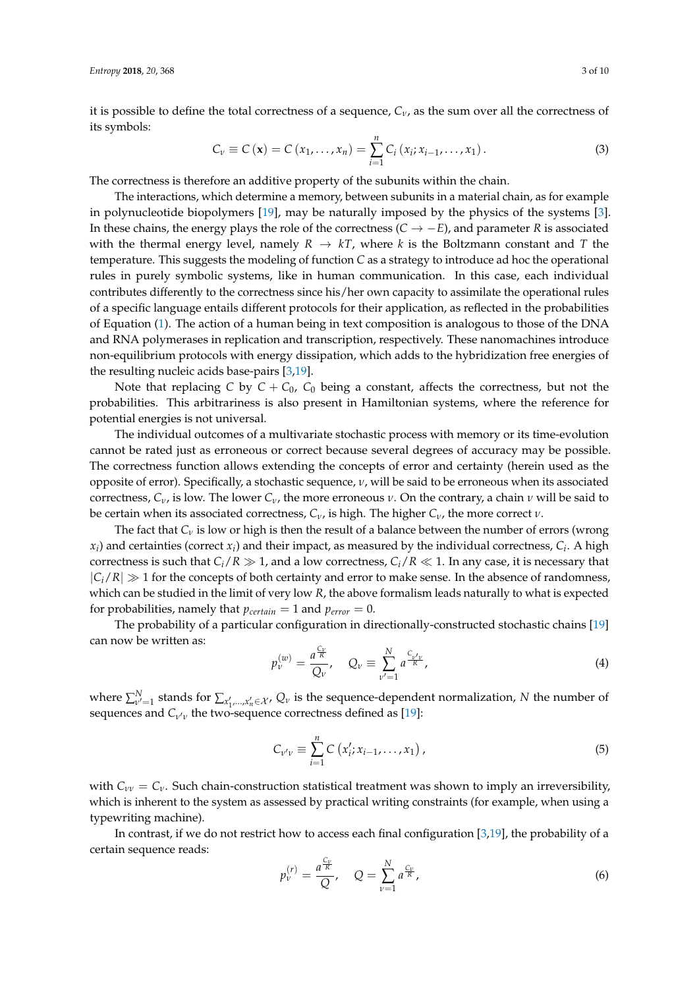it is possible to define the total correctness of a sequence, *Cν*, as the sum over all the correctness of its symbols:

$$
C_{\nu} \equiv C(\mathbf{x}) = C(x_1, ..., x_n) = \sum_{i=1}^{n} C_i (x_i; x_{i-1}, ..., x_1).
$$
 (3)

The correctness is therefore an additive property of the subunits within the chain.

The interactions, which determine a memory, between subunits in a material chain, as for example in polynucleotide biopolymers [\[19\]](#page-9-17), may be naturally imposed by the physics of the systems [\[3\]](#page-9-2). In these chains, the energy plays the role of the correctness (*C* → −*E*), and parameter *R* is associated with the thermal energy level, namely  $R \rightarrow kT$ , where *k* is the Boltzmann constant and *T* the temperature. This suggests the modeling of function *C* as a strategy to introduce ad hoc the operational rules in purely symbolic systems, like in human communication. In this case, each individual contributes differently to the correctness since his/her own capacity to assimilate the operational rules of a specific language entails different protocols for their application, as reflected in the probabilities of Equation [\(1\)](#page-1-0). The action of a human being in text composition is analogous to those of the DNA and RNA polymerases in replication and transcription, respectively. These nanomachines introduce non-equilibrium protocols with energy dissipation, which adds to the hybridization free energies of the resulting nucleic acids base-pairs [\[3](#page-9-2)[,19\]](#page-9-17).

Note that replacing *C* by  $C + C_0$ ,  $C_0$  being a constant, affects the correctness, but not the probabilities. This arbitrariness is also present in Hamiltonian systems, where the reference for potential energies is not universal.

The individual outcomes of a multivariate stochastic process with memory or its time-evolution cannot be rated just as erroneous or correct because several degrees of accuracy may be possible. The correctness function allows extending the concepts of error and certainty (herein used as the opposite of error). Specifically, a stochastic sequence, *ν*, will be said to be erroneous when its associated correctness,  $C_v$ , is low. The lower  $C_v$ , the more erroneous  $v$ . On the contrary, a chain  $v$  will be said to be certain when its associated correctness, *Cν*, is high. The higher *Cν*, the more correct *ν*.

The fact that  $C_V$  is low or high is then the result of a balance between the number of errors (wrong  $x_i$ ) and certainties (correct  $x_i$ ) and their impact, as measured by the individual correctness,  $C_i$ . A high correctness is such that  $C_i/R \gg 1$ , and a low correctness,  $C_i/R \ll 1$ . In any case, it is necessary that  $|C_i/R| \gg 1$  for the concepts of both certainty and error to make sense. In the absence of randomness, which can be studied in the limit of very low *R*, the above formalism leads naturally to what is expected for probabilities, namely that  $p_{certain} = 1$  and  $p_{error} = 0$ .

The probability of a particular configuration in directionally-constructed stochastic chains [\[19\]](#page-9-17) can now be written as:

<span id="page-2-1"></span>
$$
p_{\nu}^{(w)} = \frac{a^{\frac{C_{\nu}}{R}}}{Q_{\nu}}, \quad Q_{\nu} \equiv \sum_{\nu'=1}^{N} a^{\frac{C_{\nu'\nu}}{R}}, \tag{4}
$$

where  $\sum_{\nu'}^N$ *ν*<sup>*ν*</sup> = 1 stands for  $\sum_{x'_1,...,x'_n \in \mathcal{X}}$ ,  $Q_\nu$  is the sequence-dependent normalization, *N* the number of sequences and *C<sub>ν'ν</sub>* the two-sequence correctness defined as [\[19\]](#page-9-17):

$$
C_{\nu'\nu} \equiv \sum_{i=1}^{n} C(x'_i; x_{i-1}, \dots, x_1), \tag{5}
$$

with  $C_{\nu\nu} = C_{\nu}$ . Such chain-construction statistical treatment was shown to imply an irreversibility, which is inherent to the system as assessed by practical writing constraints (for example, when using a typewriting machine).

In contrast, if we do not restrict how to access each final configuration [\[3,](#page-9-2)[19\]](#page-9-17), the probability of a certain sequence reads:

<span id="page-2-0"></span>
$$
p_{\nu}^{(r)} = \frac{a^{\frac{C_{\nu}}{R}}}{Q}, \quad Q = \sum_{\nu=1}^{N} a^{\frac{C_{\nu}}{R}}, \tag{6}
$$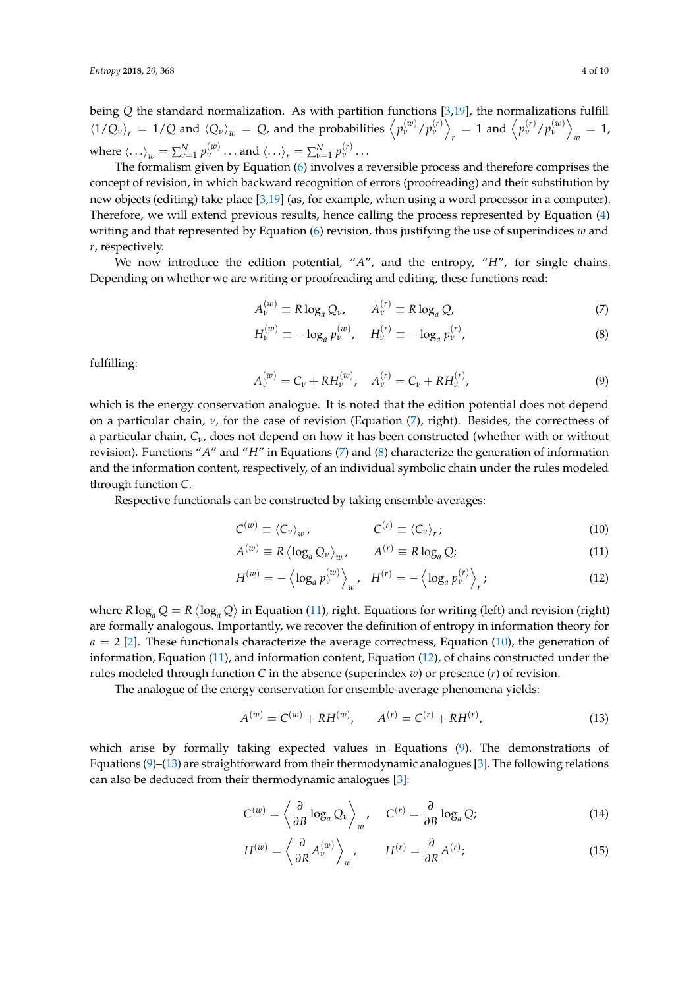being *Q* the standard normalization. As with partition functions [\[3](#page-9-2)[,19\]](#page-9-17), the normalizations fulfill  $\langle 1/Q_v \rangle_r = 1/Q$  and  $\langle Q_v \rangle_w = Q$ , and the probabilities  $\langle p_v^{(w)}/p_v^{(r)} \rangle$  $p_r$  = 1 and  $\left\langle p_v^{(r)}/p_v^{(w)} \right\rangle$  $_w = 1$ where  $\langle \ldots \rangle_w = \sum_{v=1}^N p_v^{(w)} \ldots$  and  $\langle \ldots \rangle_r = \sum_{v=1}^N p_v^{(r)} \ldots$ 

The formalism given by Equation [\(6\)](#page-2-0) involves a reversible process and therefore comprises the concept of revision, in which backward recognition of errors (proofreading) and their substitution by new objects (editing) take place [\[3](#page-9-2)[,19\]](#page-9-17) (as, for example, when using a word processor in a computer). Therefore, we will extend previous results, hence calling the process represented by Equation [\(4\)](#page-2-1) writing and that represented by Equation  $(6)$  revision, thus justifying the use of superindices  $w$  and *r*, respectively.

We now introduce the edition potential, "*A*", and the entropy, "*H*", for single chains. Depending on whether we are writing or proofreading and editing, these functions read:

<span id="page-3-0"></span>
$$
A_{\nu}^{(w)} \equiv R \log_a Q_{\nu}, \qquad A_{\nu}^{(r)} \equiv R \log_a Q,\tag{7}
$$

$$
H_{\nu}^{(w)} \equiv -\log_a p_{\nu}^{(w)}, \quad H_{\nu}^{(r)} \equiv -\log_a p_{\nu}^{(r)}, \tag{8}
$$

fulfilling:

<span id="page-3-2"></span>
$$
A_{\nu}^{(w)} = C_{\nu} + RH_{\nu}^{(w)}, \quad A_{\nu}^{(r)} = C_{\nu} + RH_{\nu}^{(r)}, \tag{9}
$$

which is the energy conservation analogue. It is noted that the edition potential does not depend on a particular chain, *ν*, for the case of revision (Equation [\(7\)](#page-3-0), right). Besides, the correctness of a particular chain, *Cν*, does not depend on how it has been constructed (whether with or without revision). Functions "*A*" and "*H*" in Equations [\(7\)](#page-3-0) and [\(8\)](#page-3-0) characterize the generation of information and the information content, respectively, of an individual symbolic chain under the rules modeled through function *C*.

Respective functionals can be constructed by taking ensemble-averages:

<span id="page-3-1"></span>
$$
C^{(w)} \equiv \langle C_v \rangle_w, \qquad C^{(r)} \equiv \langle C_v \rangle_r; \qquad (10)
$$

$$
A^{(w)} \equiv R \left\langle \log_a Q_v \right\rangle_w, \qquad A^{(r)} \equiv R \log_a Q; \tag{11}
$$

$$
H^{(w)} = -\left\langle \log_a p_v^{(w)} \right\rangle_w, \quad H^{(r)} = -\left\langle \log_a p_v^{(r)} \right\rangle_r; \tag{12}
$$

where  $R \log_a Q = R \langle \log_a Q \rangle$  in Equation [\(11\)](#page-3-1), right. Equations for writing (left) and revision (right) are formally analogous. Importantly, we recover the definition of entropy in information theory for  $a = 2$  [\[2\]](#page-9-1). These functionals characterize the average correctness, Equation [\(10\)](#page-3-1), the generation of information, Equation [\(11\)](#page-3-1), and information content, Equation [\(12\)](#page-3-1), of chains constructed under the rules modeled through function *C* in the absence (superindex *w*) or presence (*r*) of revision.

The analogue of the energy conservation for ensemble-average phenomena yields:

<span id="page-3-3"></span>
$$
A^{(w)} = C^{(w)} + RH^{(w)}, \qquad A^{(r)} = C^{(r)} + RH^{(r)}, \tag{13}
$$

which arise by formally taking expected values in Equations [\(9\)](#page-3-2). The demonstrations of Equations [\(9\)](#page-3-2)–[\(13\)](#page-3-3) are straightforward from their thermodynamic analogues [\[3\]](#page-9-2). The following relations can also be deduced from their thermodynamic analogues [\[3\]](#page-9-2):

<span id="page-3-4"></span>
$$
C^{(w)} = \left\langle \frac{\partial}{\partial B} \log_a Q_v \right\rangle_w, \quad C^{(r)} = \frac{\partial}{\partial B} \log_a Q; \tag{14}
$$

$$
H^{(w)} = \left\langle \frac{\partial}{\partial R} A_{\nu}^{(w)} \right\rangle_{w}, \qquad H^{(r)} = \frac{\partial}{\partial R} A^{(r)}; \tag{15}
$$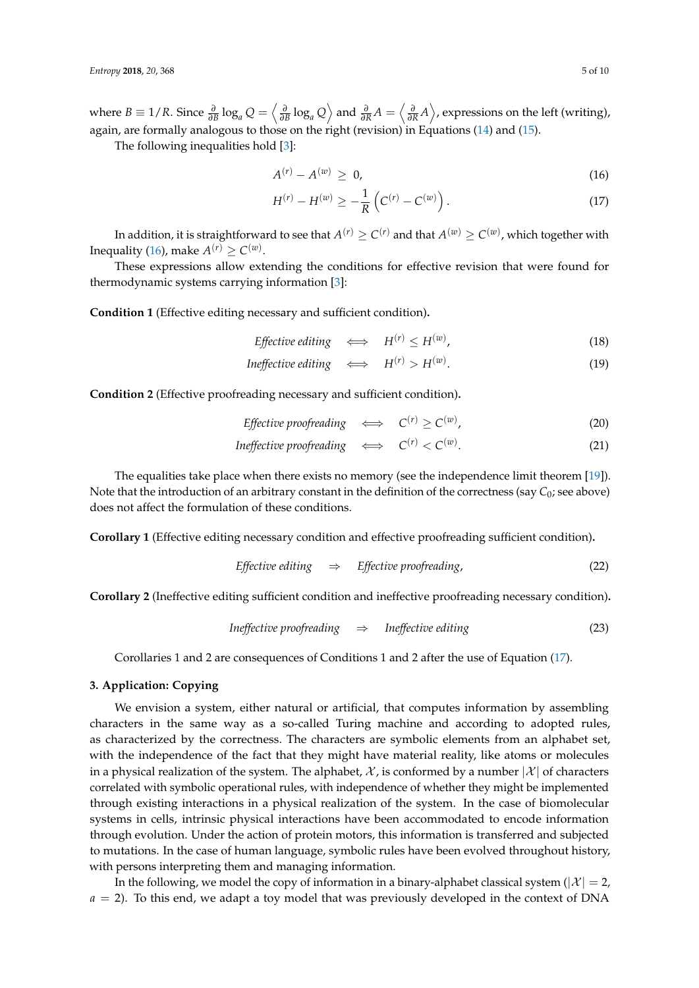where  $B\equiv 1/R$ . Since  $\frac{\partial}{\partial B}\log_a Q=\left\langle \frac{\partial}{\partial B}\log_a Q\right\rangle$  and  $\frac{\partial}{\partial R}A=\left\langle \frac{\partial}{\partial R}A\right\rangle$ , expressions on the left (writing), again, are formally analogous to those on the right (revision) in Equations [\(14\)](#page-3-4) and [\(15\)](#page-3-4).

The following inequalities hold [\[3\]](#page-9-2):

<span id="page-4-0"></span>
$$
A^{(r)} - A^{(w)} \geq 0,
$$
\n(16)

$$
H^{(r)} - H^{(w)} \ge -\frac{1}{R} \left( C^{(r)} - C^{(w)} \right). \tag{17}
$$

In addition, it is straightforward to see that  $A^{(r)}\geq C^{(r)}$  and that  $A^{(w)}\geq C^{(w)}$ , which together with Inequality [\(16\)](#page-4-0), make  $A^{(r)} \ge C^{(w)}$ .

These expressions allow extending the conditions for effective revision that were found for thermodynamic systems carrying information [\[3\]](#page-9-2):

**Condition 1** (Effective editing necessary and sufficient condition)**.**

$$
Effective editing \iff H^{(r)} \le H^{(w)}, \tag{18}
$$

$$
In effective editing \iff H^{(r)} > H^{(w)}.
$$
\n
$$
(19)
$$

**Condition 2** (Effective proofreading necessary and sufficient condition)**.**

$$
Effective \, producing \quad \Longleftrightarrow \quad C^{(r)} \ge C^{(w)}, \tag{20}
$$

$$
In effective \,prop {freading} \quad \Longleftrightarrow \quad C^{(r)} < C^{(w)}.\tag{21}
$$

The equalities take place when there exists no memory (see the independence limit theorem [\[19\]](#page-9-17)). Note that the introduction of an arbitrary constant in the definition of the correctness (say *C*0; see above) does not affect the formulation of these conditions.

**Corollary 1** (Effective editing necessary condition and effective proofreading sufficient condition)**.**

*Effective editing* 
$$
\Rightarrow
$$
 *Effective proofreading,* (22)

**Corollary 2** (Ineffective editing sufficient condition and ineffective proofreading necessary condition)**.**

$$
In effective \,prop {freading} \quad \Rightarrow \quad In effective \, editing \tag{23}
$$

Corollaries 1 and 2 are consequences of Conditions 1 and 2 after the use of Equation [\(17\)](#page-4-0).

# **3. Application: Copying**

We envision a system, either natural or artificial, that computes information by assembling characters in the same way as a so-called Turing machine and according to adopted rules, as characterized by the correctness. The characters are symbolic elements from an alphabet set, with the independence of the fact that they might have material reality, like atoms or molecules in a physical realization of the system. The alphabet,  $\mathcal{X}$ , is conformed by a number  $|\mathcal{X}|$  of characters correlated with symbolic operational rules, with independence of whether they might be implemented through existing interactions in a physical realization of the system. In the case of biomolecular systems in cells, intrinsic physical interactions have been accommodated to encode information through evolution. Under the action of protein motors, this information is transferred and subjected to mutations. In the case of human language, symbolic rules have been evolved throughout history, with persons interpreting them and managing information.

In the following, we model the copy of information in a binary-alphabet classical system ( $|\mathcal{X}| = 2$ , *a* = 2). To this end, we adapt a toy model that was previously developed in the context of DNA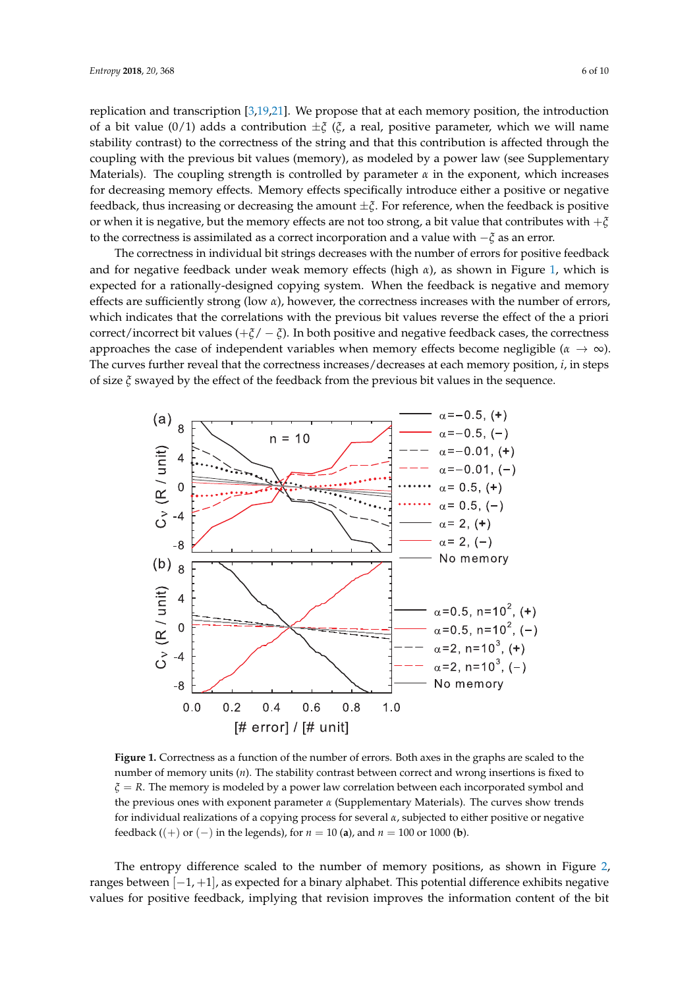replication and transcription [\[3,](#page-9-2)[19,](#page-9-17)[21\]](#page-9-19). We propose that at each memory position, the introduction of a bit value (0/1) adds a contribution ±*ξ* (*ξ*, a real, positive parameter, which we will name stability contrast) to the correctness of the string and that this contribution is affected through the coupling with the previous bit values (memory), as modeled by a power law (see Supplementary Materials). The coupling strength is controlled by parameter  $\alpha$  in the exponent, which increases for decreasing memory effects. Memory effects specifically introduce either a positive or negative feedback, thus increasing or decreasing the amount ±*ξ*. For reference, when the feedback is positive or when it is negative, but the memory effects are not too strong, a bit value that contributes with +*ξ* to the correctness is assimilated as a correct incorporation and a value with −*ξ* as an error.

The correctness in individual bit strings decreases with the number of errors for positive feedback and for negative feedback under weak memory effects (high *α*), as shown in Figure [1,](#page-5-0) which is expected for a rationally-designed copying system. When the feedback is negative and memory effects are sufficiently strong (low *α*), however, the correctness increases with the number of errors, which indicates that the correlations with the previous bit values reverse the effect of the a priori correct/incorrect bit values (+*ξ*/ − *ξ*). In both positive and negative feedback cases, the correctness approaches the case of independent variables when memory effects become negligible ( $\alpha \to \infty$ ). The curves further reveal that the correctness increases/decreases at each memory position, *i*, in steps of size *ξ* swayed by the effect of the feedback from the previous bit values in the sequence.

<span id="page-5-0"></span>

**Figure 1.** Correctness as a function of the number of errors. Both axes in the graphs are scaled to the number of memory units (*n*). The stability contrast between correct and wrong insertions is fixed to *ξ* = *R*. The memory is modeled by a power law correlation between each incorporated symbol and the previous ones with exponent parameter *α* (Supplementary Materials). The curves show trends for individual realizations of a copying process for several *α*, subjected to either positive or negative feedback ((+) or (-) in the legends), for  $n = 10$  (a), and  $n = 100$  or 1000 (**b**).

The entropy difference scaled to the number of memory positions, as shown in Figure [2,](#page-6-0) ranges between  $[-1, +1]$ , as expected for a binary alphabet. This potential difference exhibits negative values for positive feedback, implying that revision improves the information content of the bit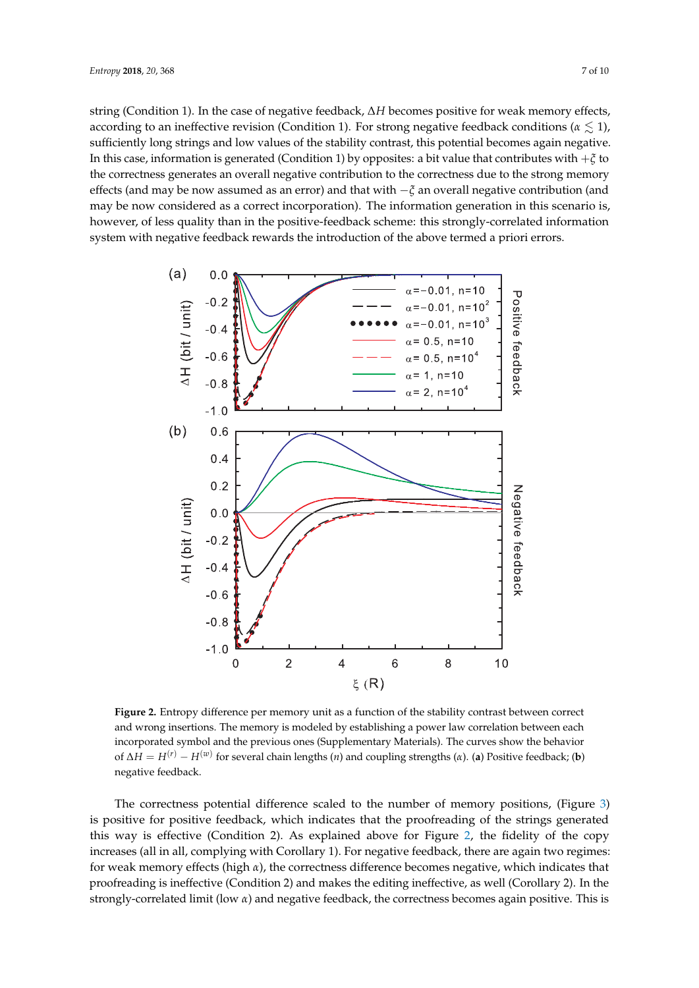string (Condition 1). In the case of negative feedback, ∆*H* becomes positive for weak memory effects, according to an ineffective revision (Condition 1). For strong negative feedback conditions ( $\alpha \lesssim 1$ ), sufficiently long strings and low values of the stability contrast, this potential becomes again negative. In this case, information is generated (Condition 1) by opposites: a bit value that contributes with +*ξ* to the correctness generates an overall negative contribution to the correctness due to the strong memory effects (and may be now assumed as an error) and that with −*ξ* an overall negative contribution (and may be now considered as a correct incorporation). The information generation in this scenario is, however, of less quality than in the positive-feedback scheme: this strongly-correlated information system with negative feedback rewards the introduction of the above termed a priori errors.

<span id="page-6-0"></span>

**Figure 2.** Entropy difference per memory unit as a function of the stability contrast between correct and wrong insertions. The memory is modeled by establishing a power law correlation between each incorporated symbol and the previous ones (Supplementary Materials). The curves show the behavior of ∆*H* = *H*(*r*) − *H*(*w*) for several chain lengths (*n*) and coupling strengths (*α*). (**a**) Positive feedback; (**b**) negative feedback.

The correctness potential difference scaled to the number of memory positions, (Figure [3\)](#page-7-0) is positive for positive feedback, which indicates that the proofreading of the strings generated this way is effective (Condition 2). As explained above for Figure [2,](#page-6-0) the fidelity of the copy increases (all in all, complying with Corollary 1). For negative feedback, there are again two regimes: for weak memory effects (high *α*), the correctness difference becomes negative, which indicates that proofreading is ineffective (Condition 2) and makes the editing ineffective, as well (Corollary 2). In the strongly-correlated limit (low *α*) and negative feedback, the correctness becomes again positive. This is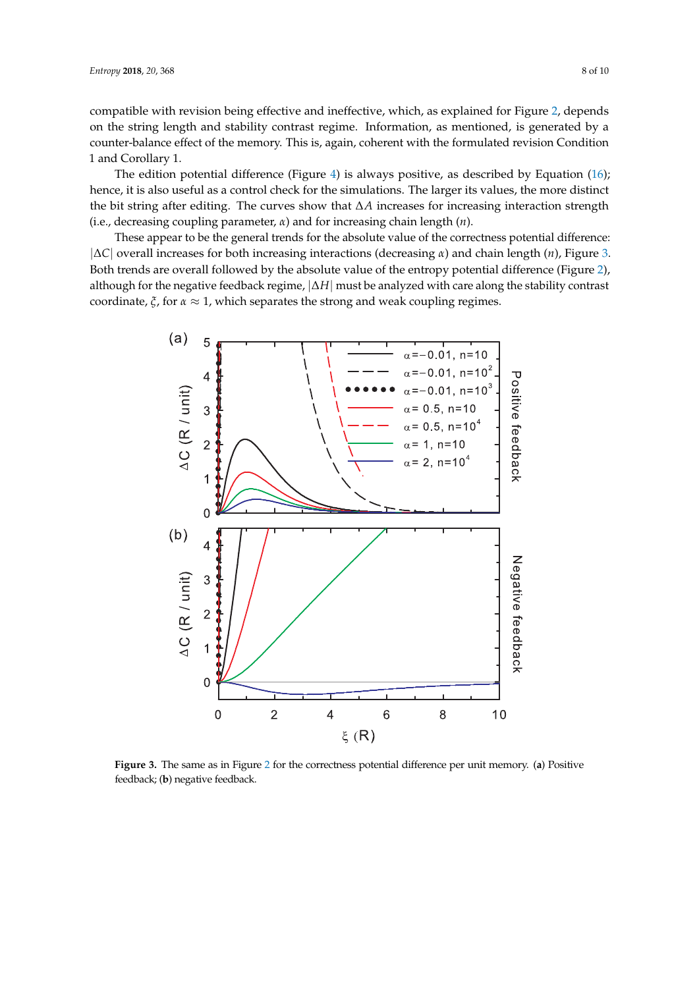compatible with revision being effective and ineffective, which, as explained for Figure [2,](#page-6-0) depends on the string length and stability contrast regime. Information, as mentioned, is generated by a counter-balance effect of the memory. This is, again, coherent with the formulated revision Condition 1 and Corollary 1.

The edition potential difference (Figure [4\)](#page-8-0) is always positive, as described by Equation [\(16\)](#page-4-0); hence, it is also useful as a control check for the simulations. The larger its values, the more distinct the bit string after editing. The curves show that ∆*A* increases for increasing interaction strength (i.e., decreasing coupling parameter, *α*) and for increasing chain length (*n*).

These appear to be the general trends for the absolute value of the correctness potential difference: |∆*C*| overall increases for both increasing interactions (decreasing *α*) and chain length (*n*), Figure [3.](#page-7-0) Both trends are overall followed by the absolute value of the entropy potential difference (Figure [2\)](#page-6-0), although for the negative feedback regime, |∆*H*| must be analyzed with care along the stability contrast coordinate,  $\zeta$ , for  $\alpha \approx 1$ , which separates the strong and weak coupling regimes.

<span id="page-7-0"></span>

**Figure 3.** The same as in Figure [2](#page-6-0) for the correctness potential difference per unit memory. (**a**) Positive feedback; (**b**) negative feedback.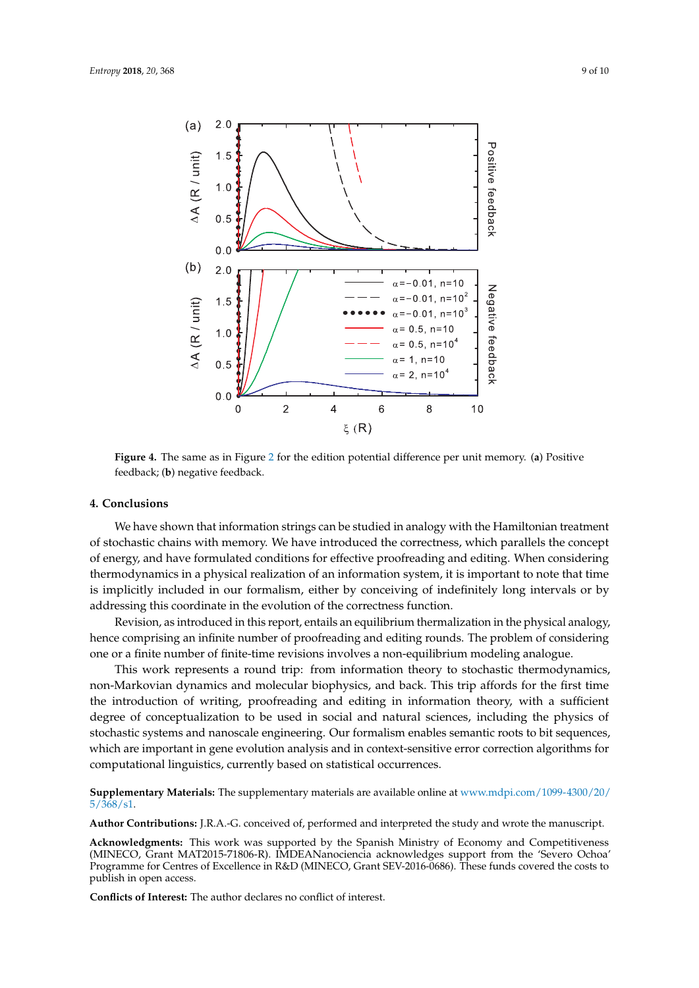<span id="page-8-0"></span>

**Figure 4.** The same as in Figure [2](#page-6-0) for the edition potential difference per unit memory. (**a**) Positive feedback; (**b**) negative feedback.

#### **4. Conclusions**

We have shown that information strings can be studied in analogy with the Hamiltonian treatment of stochastic chains with memory. We have introduced the correctness, which parallels the concept of energy, and have formulated conditions for effective proofreading and editing. When considering thermodynamics in a physical realization of an information system, it is important to note that time is implicitly included in our formalism, either by conceiving of indefinitely long intervals or by addressing this coordinate in the evolution of the correctness function.

Revision, as introduced in this report, entails an equilibrium thermalization in the physical analogy, hence comprising an infinite number of proofreading and editing rounds. The problem of considering one or a finite number of finite-time revisions involves a non-equilibrium modeling analogue.

This work represents a round trip: from information theory to stochastic thermodynamics, non-Markovian dynamics and molecular biophysics, and back. This trip affords for the first time the introduction of writing, proofreading and editing in information theory, with a sufficient degree of conceptualization to be used in social and natural sciences, including the physics of stochastic systems and nanoscale engineering. Our formalism enables semantic roots to bit sequences, which are important in gene evolution analysis and in context-sensitive error correction algorithms for computational linguistics, currently based on statistical occurrences.

**Supplementary Materials:** The supplementary materials are available online at [www.mdpi.com/1099-4300/20/](www.mdpi.com/1099-4300/20/5/368/s1) [5/368/s1.](www.mdpi.com/1099-4300/20/5/368/s1)

**Author Contributions:** J.R.A.-G. conceived of, performed and interpreted the study and wrote the manuscript.

**Acknowledgments:** This work was supported by the Spanish Ministry of Economy and Competitiveness (MINECO, Grant MAT2015-71806-R). IMDEANanociencia acknowledges support from the 'Severo Ochoa' Programme for Centres of Excellence in R&D (MINECO, Grant SEV-2016-0686). These funds covered the costs to publish in open access.

**Conflicts of Interest:** The author declares no conflict of interest.